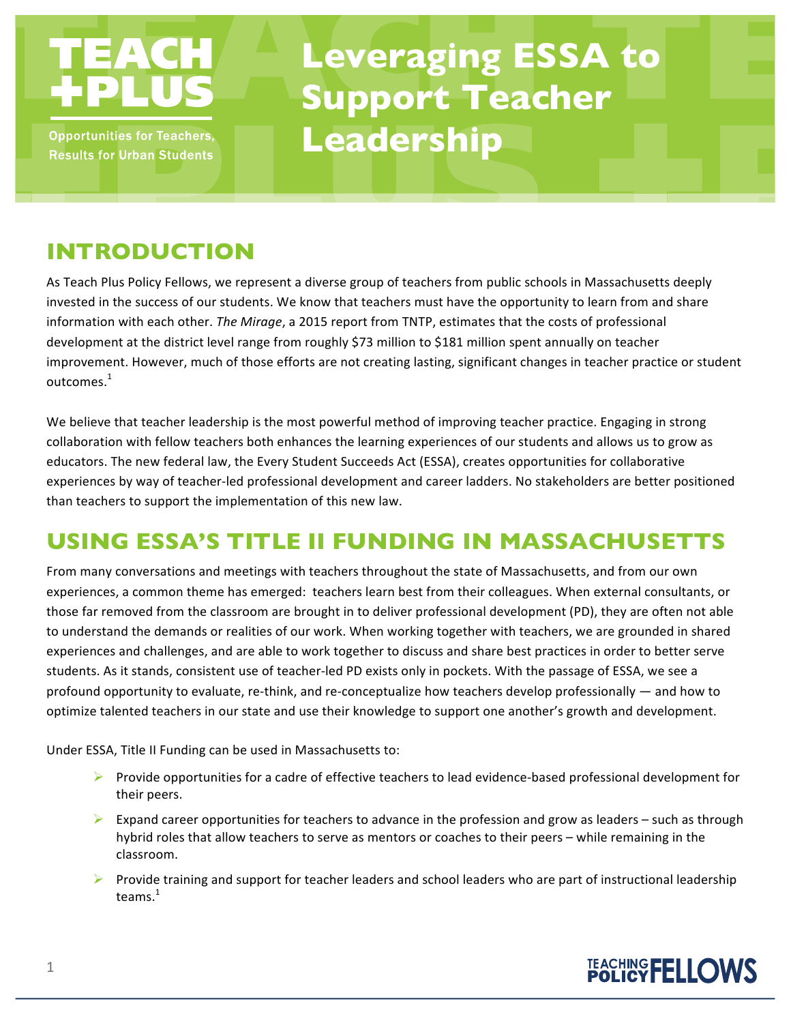

**Opportunities for Teachers, Results for Urban Students** 

# **Leveraging ESSA to Support Teacher Leadership**

# **INTRODUCTION**

As Teach Plus Policy Fellows, we represent a diverse group of teachers from public schools in Massachusetts deeply invested in the success of our students. We know that teachers must have the opportunity to learn from and share information with each other. *The Mirage*, a 2015 report from TNTP, estimates that the costs of professional development at the district level range from roughly \$73 million to \$181 million spent annually on teacher improvement. However, much of those efforts are not creating lasting, significant changes in teacher practice or student outcomes. $^{\rm 1}$ 

We believe that teacher leadership is the most powerful method of improving teacher practice. Engaging in strong collaboration with fellow teachers both enhances the learning experiences of our students and allows us to grow as educators. The new federal law, the Every Student Succeeds Act (ESSA), creates opportunities for collaborative experiences by way of teacher-led professional development and career ladders. No stakeholders are better positioned than teachers to support the implementation of this new law. 

# **USING ESSA'S TITLE II FUNDING IN MASSACHUSETTS**

From many conversations and meetings with teachers throughout the state of Massachusetts, and from our own experiences, a common theme has emerged: teachers learn best from their colleagues. When external consultants, or those far removed from the classroom are brought in to deliver professional development (PD), they are often not able to understand the demands or realities of our work. When working together with teachers, we are grounded in shared experiences and challenges, and are able to work together to discuss and share best practices in order to better serve students. As it stands, consistent use of teacher-led PD exists only in pockets. With the passage of ESSA, we see a profound opportunity to evaluate, re-think, and re-conceptualize how teachers develop professionally — and how to optimize talented teachers in our state and use their knowledge to support one another's growth and development.

Under ESSA, Title II Funding can be used in Massachusetts to:

- $\triangleright$  Provide opportunities for a cadre of effective teachers to lead evidence-based professional development for their peers.
- Expand career opportunities for teachers to advance in the profession and grow as leaders such as through hybrid roles that allow teachers to serve as mentors or coaches to their peers - while remaining in the classroom.
- $\triangleright$  Provide training and support for teacher leaders and school leaders who are part of instructional leadership teams. $1$

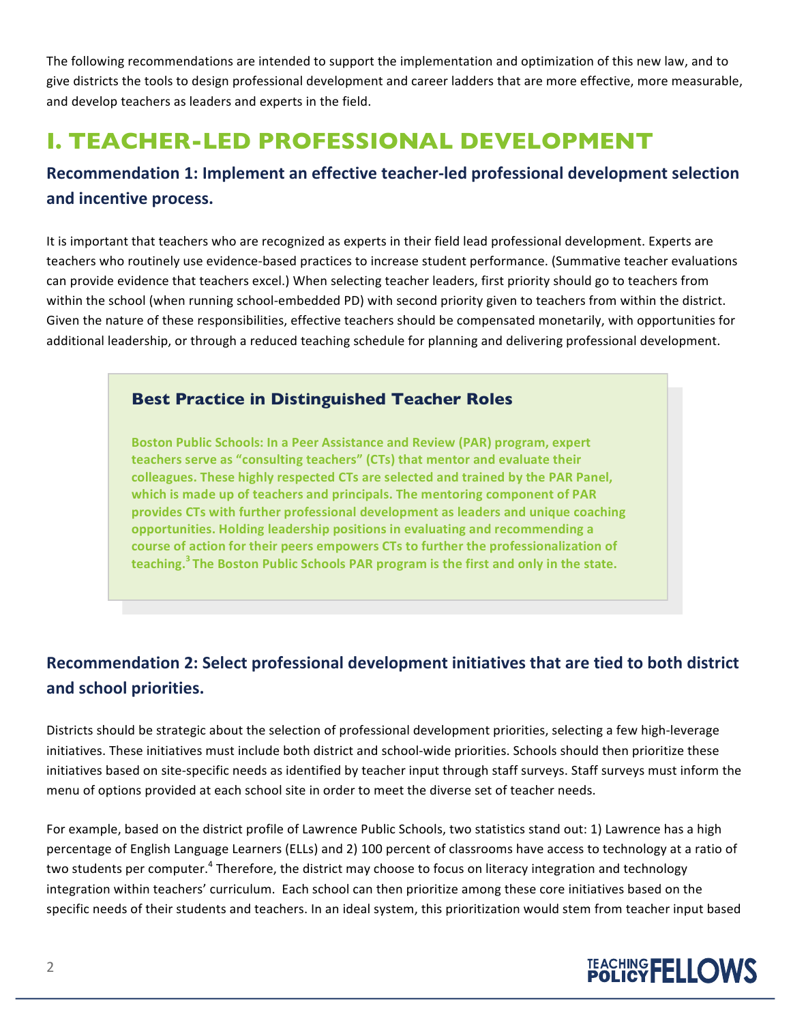The following recommendations are intended to support the implementation and optimization of this new law, and to give districts the tools to design professional development and career ladders that are more effective, more measurable, and develop teachers as leaders and experts in the field.

# **I. TEACHER-LED PROFESSIONAL DEVELOPMENT**

### **Recommendation 1: Implement an effective teacher-led professional development selection and incentive process.**

It is important that teachers who are recognized as experts in their field lead professional development. Experts are teachers who routinely use evidence-based practices to increase student performance. (Summative teacher evaluations can provide evidence that teachers excel.) When selecting teacher leaders, first priority should go to teachers from within the school (when running school-embedded PD) with second priority given to teachers from within the district. Given the nature of these responsibilities, effective teachers should be compensated monetarily, with opportunities for additional leadership, or through a reduced teaching schedule for planning and delivering professional development. 

#### **Best Practice in Distinguished Teacher Roles**

**Boston Public Schools: In a Peer Assistance and Review (PAR) program, expert** teachers serve as "consulting teachers" (CTs) that mentor and evaluate their colleagues. These highly respected CTs are selected and trained by the PAR Panel, which is made up of teachers and principals. The mentoring component of PAR provides CTs with further professional development as leaders and unique coaching opportunities. Holding leadership positions in evaluating and recommending a course of action for their peers empowers CTs to further the professionalization of teaching.<sup>3</sup> The Boston Public Schools PAR program is the first and only in the state.

### **Recommendation 2: Select professional development initiatives that are tied to both district and school priorities.**

Districts should be strategic about the selection of professional development priorities, selecting a few high-leverage initiatives. These initiatives must include both district and school-wide priorities. Schools should then prioritize these initiatives based on site-specific needs as identified by teacher input through staff surveys. Staff surveys must inform the menu of options provided at each school site in order to meet the diverse set of teacher needs.

For example, based on the district profile of Lawrence Public Schools, two statistics stand out: 1) Lawrence has a high percentage of English Language Learners (ELLs) and 2) 100 percent of classrooms have access to technology at a ratio of two students per computer.<sup>4</sup> Therefore, the district may choose to focus on literacy integration and technology integration within teachers' curriculum. Each school can then prioritize among these core initiatives based on the specific needs of their students and teachers. In an ideal system, this prioritization would stem from teacher input based

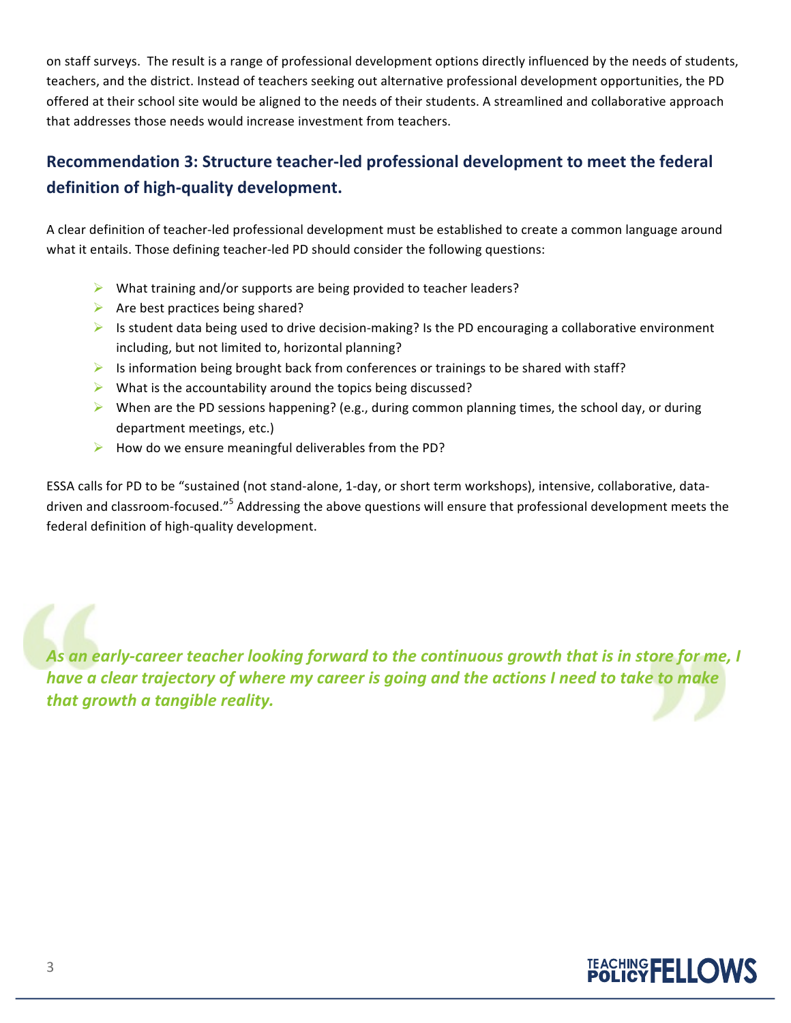on staff surveys. The result is a range of professional development options directly influenced by the needs of students, teachers, and the district. Instead of teachers seeking out alternative professional development opportunities, the PD offered at their school site would be aligned to the needs of their students. A streamlined and collaborative approach that addresses those needs would increase investment from teachers.

## **Recommendation 3: Structure teacher-led professional development to meet the federal definition of high-quality development.**

A clear definition of teacher-led professional development must be established to create a common language around what it entails. Those defining teacher-led PD should consider the following questions:

- $\triangleright$  What training and/or supports are being provided to teacher leaders?
- $\triangleright$  Are best practices being shared?
- $\triangleright$  Is student data being used to drive decision-making? Is the PD encouraging a collaborative environment including, but not limited to, horizontal planning?
- $\triangleright$  Is information being brought back from conferences or trainings to be shared with staff?
- $\triangleright$  What is the accountability around the topics being discussed?
- $\triangleright$  When are the PD sessions happening? (e.g., during common planning times, the school day, or during department meetings, etc.)
- $\blacktriangleright$  How do we ensure meaningful deliverables from the PD?

ESSA calls for PD to be "sustained (not stand-alone, 1-day, or short term workshops), intensive, collaborative, datadriven and classroom-focused."<sup>5</sup> Addressing the above questions will ensure that professional development meets the federal definition of high-quality development.

As an early-career teacher looking forward to the continuous growth that is in store for me, I *have a clear trajectory of where my career is going and the actions I need to take to make that growth a tangible reality.*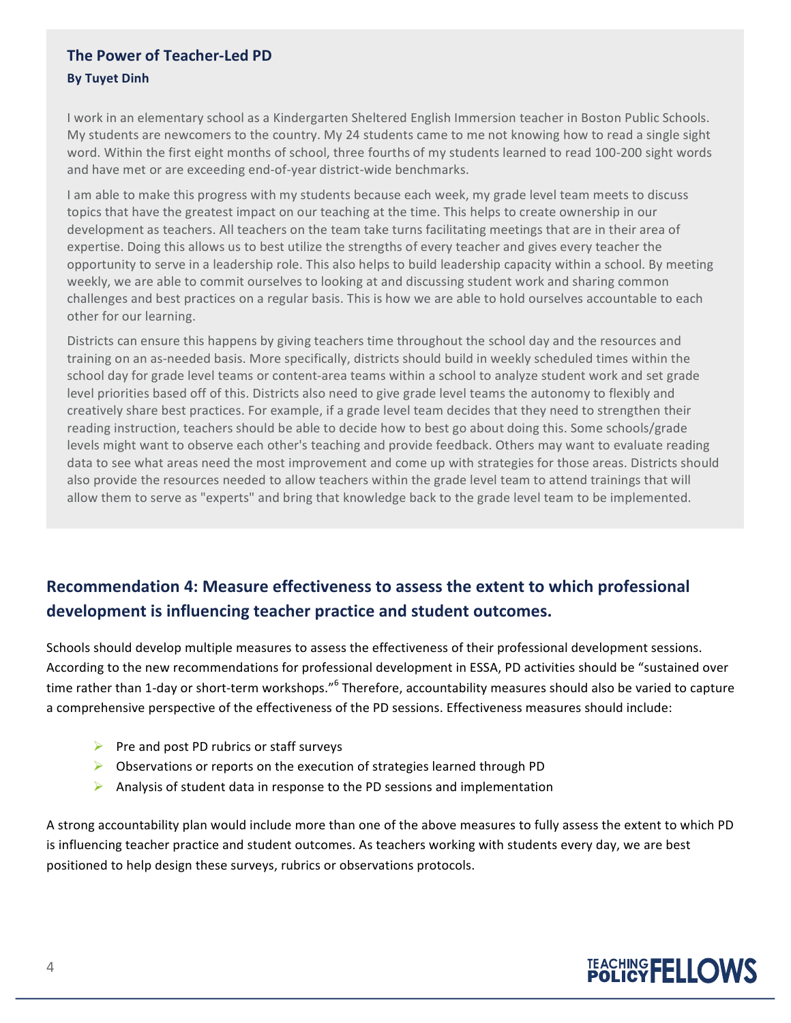#### **The Power of Teacher-Led PD By Tuyet Dinh**

I work in an elementary school as a Kindergarten Sheltered English Immersion teacher in Boston Public Schools. My students are newcomers to the country. My 24 students came to me not knowing how to read a single sight word. Within the first eight months of school, three fourths of my students learned to read 100-200 sight words and have met or are exceeding end-of-year district-wide benchmarks.

I am able to make this progress with my students because each week, my grade level team meets to discuss topics that have the greatest impact on our teaching at the time. This helps to create ownership in our development as teachers. All teachers on the team take turns facilitating meetings that are in their area of expertise. Doing this allows us to best utilize the strengths of every teacher and gives every teacher the opportunity to serve in a leadership role. This also helps to build leadership capacity within a school. By meeting weekly, we are able to commit ourselves to looking at and discussing student work and sharing common challenges and best practices on a regular basis. This is how we are able to hold ourselves accountable to each other for our learning.

Districts can ensure this happens by giving teachers time throughout the school day and the resources and training on an as-needed basis. More specifically, districts should build in weekly scheduled times within the school day for grade level teams or content-area teams within a school to analyze student work and set grade level priorities based off of this. Districts also need to give grade level teams the autonomy to flexibly and creatively share best practices. For example, if a grade level team decides that they need to strengthen their reading instruction, teachers should be able to decide how to best go about doing this. Some schools/grade levels might want to observe each other's teaching and provide feedback. Others may want to evaluate reading data to see what areas need the most improvement and come up with strategies for those areas. Districts should also provide the resources needed to allow teachers within the grade level team to attend trainings that will allow them to serve as "experts" and bring that knowledge back to the grade level team to be implemented.

## **Recommendation 4: Measure effectiveness to assess the extent to which professional development is influencing teacher practice and student outcomes.**

Schools should develop multiple measures to assess the effectiveness of their professional development sessions. According to the new recommendations for professional development in ESSA, PD activities should be "sustained over time rather than 1-day or short-term workshops."<sup>6</sup> Therefore, accountability measures should also be varied to capture a comprehensive perspective of the effectiveness of the PD sessions. Effectiveness measures should include:

- $\triangleright$  Pre and post PD rubrics or staff surveys
- $\triangleright$  Observations or reports on the execution of strategies learned through PD
- Analysis of student data in response to the PD sessions and implementation

A strong accountability plan would include more than one of the above measures to fully assess the extent to which PD is influencing teacher practice and student outcomes. As teachers working with students every day, we are best positioned to help design these surveys, rubrics or observations protocols.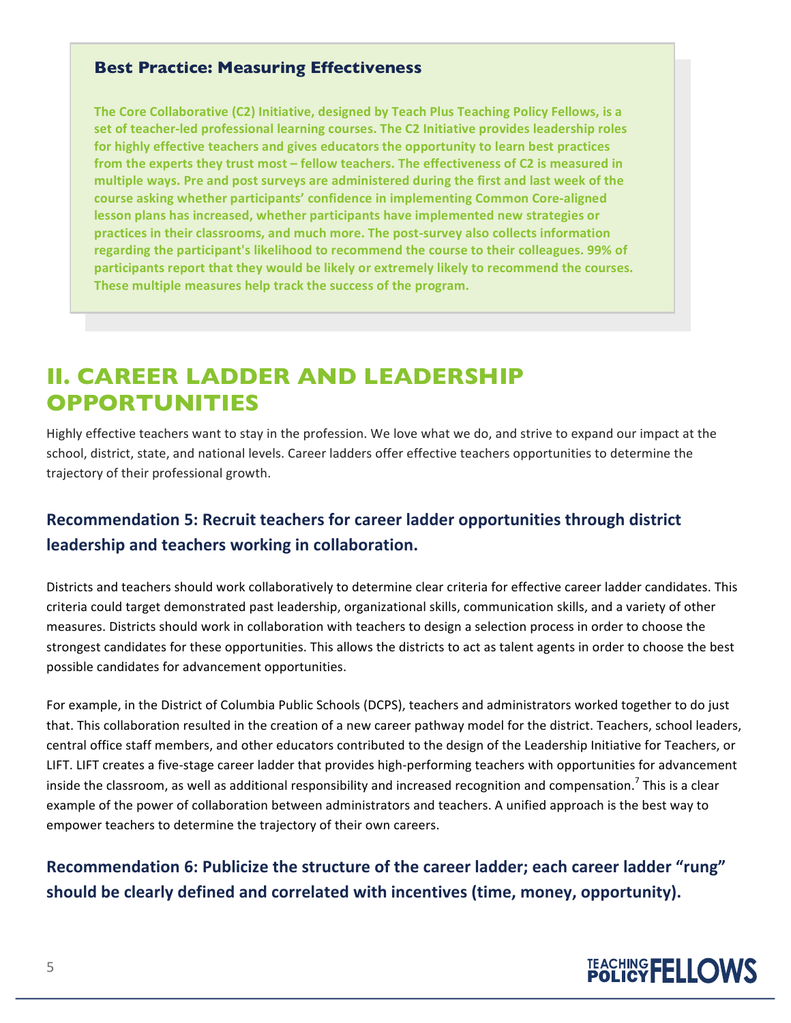#### **Best Practice: Measuring Effectiveness**

**The Core Collaborative (C2) Initiative, designed by Teach Plus Teaching Policy Fellows, is a** set of teacher-led professional learning courses. The C2 Initiative provides leadership roles for highly effective teachers and gives educators the opportunity to learn best practices from the experts they trust most – fellow teachers. The effectiveness of C2 is measured in multiple ways. Pre and post surveys are administered during the first and last week of the course asking whether participants' confidence in implementing Common Core-aligned lesson plans has increased, whether participants have implemented new strategies or practices in their classrooms, and much more. The post-survey also collects information regarding the participant's likelihood to recommend the course to their colleagues. 99% of participants report that they would be likely or extremely likely to recommend the courses. These multiple measures help track the success of the program.

# **II. CAREER LADDER AND LEADERSHIP OPPORTUNITIES**

Highly effective teachers want to stay in the profession. We love what we do, and strive to expand our impact at the school, district, state, and national levels. Career ladders offer effective teachers opportunities to determine the trajectory of their professional growth.

### **Recommendation 5: Recruit teachers for career ladder opportunities through district leadership and teachers working in collaboration.**

Districts and teachers should work collaboratively to determine clear criteria for effective career ladder candidates. This criteria could target demonstrated past leadership, organizational skills, communication skills, and a variety of other measures. Districts should work in collaboration with teachers to design a selection process in order to choose the strongest candidates for these opportunities. This allows the districts to act as talent agents in order to choose the best possible candidates for advancement opportunities.

For example, in the District of Columbia Public Schools (DCPS), teachers and administrators worked together to do just that. This collaboration resulted in the creation of a new career pathway model for the district. Teachers, school leaders, central office staff members, and other educators contributed to the design of the Leadership Initiative for Teachers, or LIFT. LIFT creates a five-stage career ladder that provides high-performing teachers with opportunities for advancement inside the classroom, as well as additional responsibility and increased recognition and compensation.<sup>7</sup> This is a clear example of the power of collaboration between administrators and teachers. A unified approach is the best way to empower teachers to determine the trajectory of their own careers.

## **Recommendation 6: Publicize the structure of the career ladder; each career ladder "rung" should be clearly defined and correlated with incentives (time, money, opportunity).**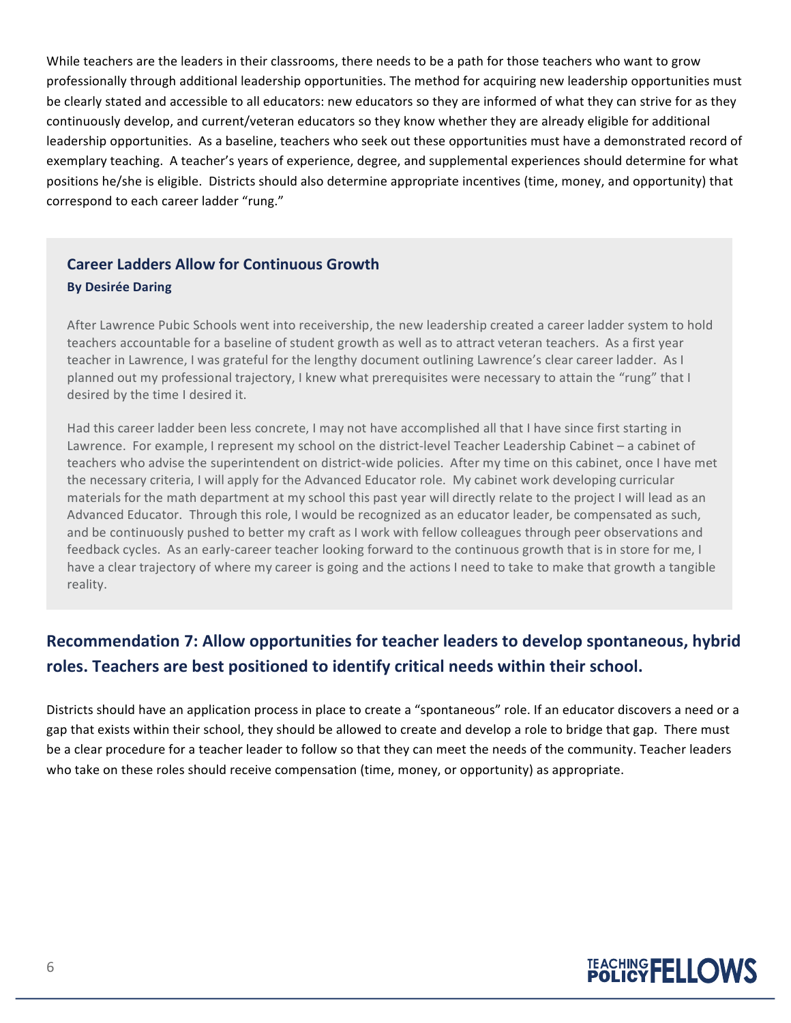While teachers are the leaders in their classrooms, there needs to be a path for those teachers who want to grow professionally through additional leadership opportunities. The method for acquiring new leadership opportunities must be clearly stated and accessible to all educators: new educators so they are informed of what they can strive for as they continuously develop, and current/veteran educators so they know whether they are already eligible for additional leadership opportunities. As a baseline, teachers who seek out these opportunities must have a demonstrated record of exemplary teaching. A teacher's years of experience, degree, and supplemental experiences should determine for what positions he/she is eligible. Districts should also determine appropriate incentives (time, money, and opportunity) that correspond to each career ladder "rung."

#### **Career Ladders Allow for Continuous Growth By Desirée Daring**

After Lawrence Pubic Schools went into receivership, the new leadership created a career ladder system to hold teachers accountable for a baseline of student growth as well as to attract veteran teachers. As a first year teacher in Lawrence, I was grateful for the lengthy document outlining Lawrence's clear career ladder. As I planned out my professional trajectory, I knew what prerequisites were necessary to attain the "rung" that I desired by the time I desired it.

Had this career ladder been less concrete, I may not have accomplished all that I have since first starting in Lawrence. For example, I represent my school on the district-level Teacher Leadership Cabinet – a cabinet of teachers who advise the superintendent on district-wide policies. After my time on this cabinet, once I have met the necessary criteria, I will apply for the Advanced Educator role. My cabinet work developing curricular materials for the math department at my school this past year will directly relate to the project I will lead as an Advanced Educator. Through this role, I would be recognized as an educator leader, be compensated as such, and be continuously pushed to better my craft as I work with fellow colleagues through peer observations and feedback cycles. As an early-career teacher looking forward to the continuous growth that is in store for me, I have a clear trajectory of where my career is going and the actions I need to take to make that growth a tangible reality.

### **Recommendation 7: Allow opportunities for teacher leaders to develop spontaneous, hybrid roles. Teachers are best positioned to identify critical needs within their school.**

Districts should have an application process in place to create a "spontaneous" role. If an educator discovers a need or a gap that exists within their school, they should be allowed to create and develop a role to bridge that gap. There must be a clear procedure for a teacher leader to follow so that they can meet the needs of the community. Teacher leaders who take on these roles should receive compensation (time, money, or opportunity) as appropriate. 

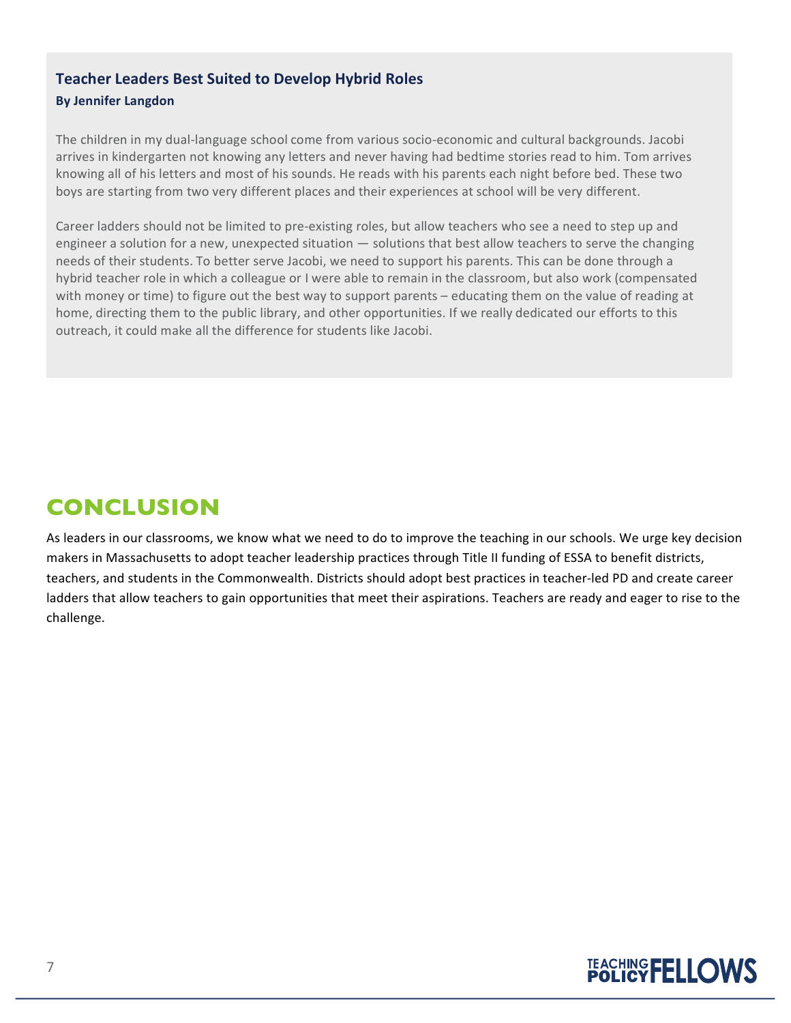#### **Teacher Leaders Best Suited to Develop Hybrid Roles By Jennifer Langdon**

The children in my dual-language school come from various socio-economic and cultural backgrounds. Jacobi arrives in kindergarten not knowing any letters and never having had bedtime stories read to him. Tom arrives knowing all of his letters and most of his sounds. He reads with his parents each night before bed. These two boys are starting from two very different places and their experiences at school will be very different.

Career ladders should not be limited to pre-existing roles, but allow teachers who see a need to step up and engineer a solution for a new, unexpected situation — solutions that best allow teachers to serve the changing needs of their students. To better serve Jacobi, we need to support his parents. This can be done through a hybrid teacher role in which a colleague or I were able to remain in the classroom, but also work (compensated with money or time) to figure out the best way to support parents – educating them on the value of reading at home, directing them to the public library, and other opportunities. If we really dedicated our efforts to this outreach, it could make all the difference for students like Jacobi.

# **CONCLUSION**

As leaders in our classrooms, we know what we need to do to improve the teaching in our schools. We urge key decision makers in Massachusetts to adopt teacher leadership practices through Title II funding of ESSA to benefit districts, teachers, and students in the Commonwealth. Districts should adopt best practices in teacher-led PD and create career ladders that allow teachers to gain opportunities that meet their aspirations. Teachers are ready and eager to rise to the challenge.